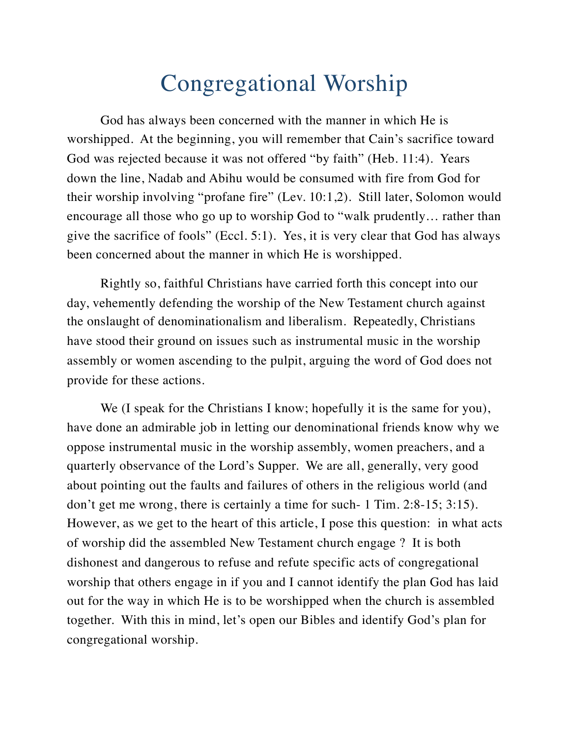# Congregational Worship

God has always been concerned with the manner in which He is worshipped. At the beginning, you will remember that Cain's sacrifice toward God was rejected because it was not offered "by faith" (Heb. 11:4). Years down the line, Nadab and Abihu would be consumed with fire from God for their worship involving "profane fire" (Lev. 10:1,2). Still later, Solomon would encourage all those who go up to worship God to "walk prudently… rather than give the sacrifice of fools" (Eccl. 5:1). Yes, it is very clear that God has always been concerned about the manner in which He is worshipped.

Rightly so, faithful Christians have carried forth this concept into our day, vehemently defending the worship of the New Testament church against the onslaught of denominationalism and liberalism. Repeatedly, Christians have stood their ground on issues such as instrumental music in the worship assembly or women ascending to the pulpit, arguing the word of God does not provide for these actions.

We (I speak for the Christians I know; hopefully it is the same for you), have done an admirable job in letting our denominational friends know why we oppose instrumental music in the worship assembly, women preachers, and a quarterly observance of the Lord's Supper. We are all, generally, very good about pointing out the faults and failures of others in the religious world (and don't get me wrong, there is certainly a time for such- 1 Tim. 2:8-15; 3:15). However, as we get to the heart of this article, I pose this question: in what acts of worship did the assembled New Testament church engage ? It is both dishonest and dangerous to refuse and refute specific acts of congregational worship that others engage in if you and I cannot identify the plan God has laid out for the way in which He is to be worshipped when the church is assembled together. With this in mind, let's open our Bibles and identify God's plan for congregational worship.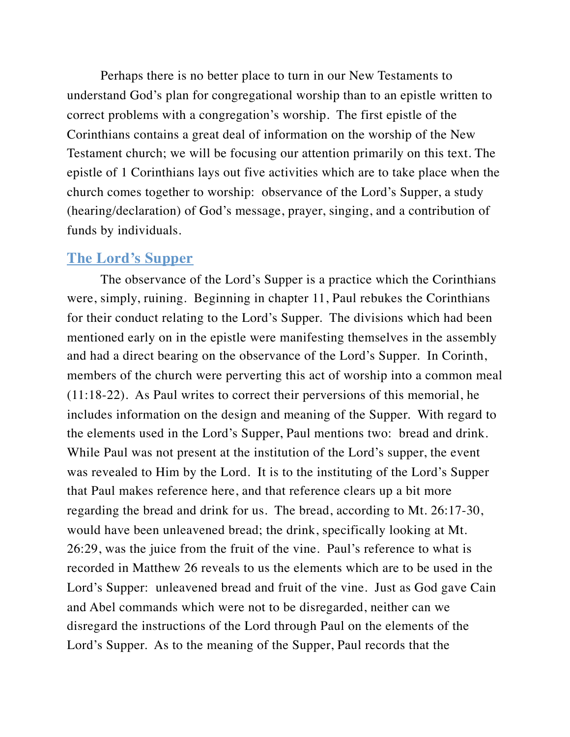Perhaps there is no better place to turn in our New Testaments to understand God's plan for congregational worship than to an epistle written to correct problems with a congregation's worship. The first epistle of the Corinthians contains a great deal of information on the worship of the New Testament church; we will be focusing our attention primarily on this text. The epistle of 1 Corinthians lays out five activities which are to take place when the church comes together to worship: observance of the Lord's Supper, a study (hearing/declaration) of God's message, prayer, singing, and a contribution of funds by individuals.

#### **The Lord's Supper**

The observance of the Lord's Supper is a practice which the Corinthians were, simply, ruining. Beginning in chapter 11, Paul rebukes the Corinthians for their conduct relating to the Lord's Supper. The divisions which had been mentioned early on in the epistle were manifesting themselves in the assembly and had a direct bearing on the observance of the Lord's Supper. In Corinth, members of the church were perverting this act of worship into a common meal (11:18-22). As Paul writes to correct their perversions of this memorial, he includes information on the design and meaning of the Supper. With regard to the elements used in the Lord's Supper, Paul mentions two: bread and drink. While Paul was not present at the institution of the Lord's supper, the event was revealed to Him by the Lord. It is to the instituting of the Lord's Supper that Paul makes reference here, and that reference clears up a bit more regarding the bread and drink for us. The bread, according to Mt. 26:17-30, would have been unleavened bread; the drink, specifically looking at Mt. 26:29, was the juice from the fruit of the vine. Paul's reference to what is recorded in Matthew 26 reveals to us the elements which are to be used in the Lord's Supper: unleavened bread and fruit of the vine. Just as God gave Cain and Abel commands which were not to be disregarded, neither can we disregard the instructions of the Lord through Paul on the elements of the Lord's Supper. As to the meaning of the Supper, Paul records that the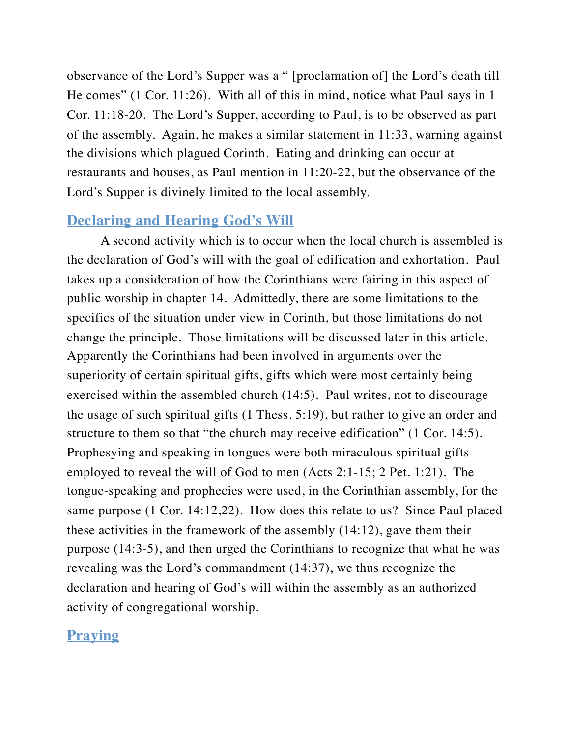observance of the Lord's Supper was a " [proclamation of] the Lord's death till He comes" (1 Cor. 11:26). With all of this in mind, notice what Paul says in 1 Cor. 11:18-20. The Lord's Supper, according to Paul, is to be observed as part of the assembly. Again, he makes a similar statement in 11:33, warning against the divisions which plagued Corinth. Eating and drinking can occur at restaurants and houses, as Paul mention in 11:20-22, but the observance of the Lord's Supper is divinely limited to the local assembly.

### **Declaring and Hearing God's Will**

A second activity which is to occur when the local church is assembled is the declaration of God's will with the goal of edification and exhortation. Paul takes up a consideration of how the Corinthians were fairing in this aspect of public worship in chapter 14. Admittedly, there are some limitations to the specifics of the situation under view in Corinth, but those limitations do not change the principle. Those limitations will be discussed later in this article. Apparently the Corinthians had been involved in arguments over the superiority of certain spiritual gifts, gifts which were most certainly being exercised within the assembled church (14:5). Paul writes, not to discourage the usage of such spiritual gifts (1 Thess. 5:19), but rather to give an order and structure to them so that "the church may receive edification" (1 Cor. 14:5). Prophesying and speaking in tongues were both miraculous spiritual gifts employed to reveal the will of God to men (Acts 2:1-15; 2 Pet. 1:21). The tongue-speaking and prophecies were used, in the Corinthian assembly, for the same purpose (1 Cor. 14:12,22). How does this relate to us? Since Paul placed these activities in the framework of the assembly (14:12), gave them their purpose (14:3-5), and then urged the Corinthians to recognize that what he was revealing was the Lord's commandment (14:37), we thus recognize the declaration and hearing of God's will within the assembly as an authorized activity of congregational worship.

## **Praying**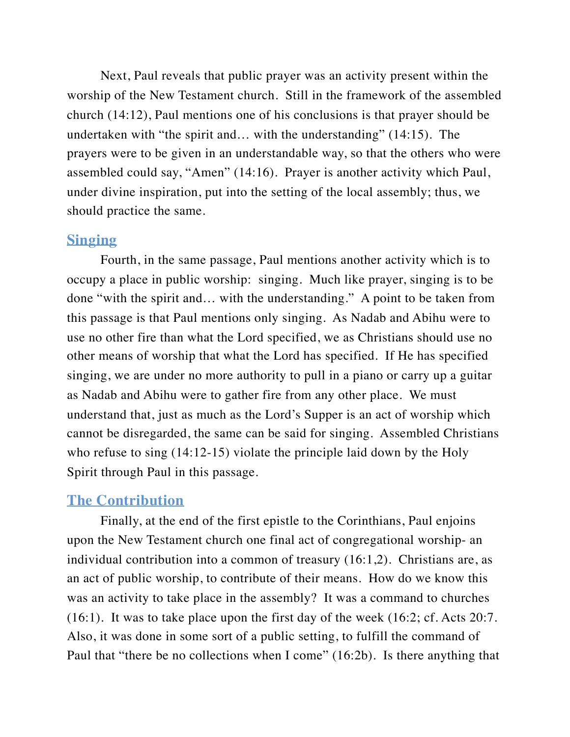Next, Paul reveals that public prayer was an activity present within the worship of the New Testament church. Still in the framework of the assembled church (14:12), Paul mentions one of his conclusions is that prayer should be undertaken with "the spirit and… with the understanding" (14:15). The prayers were to be given in an understandable way, so that the others who were assembled could say, "Amen" (14:16). Prayer is another activity which Paul, under divine inspiration, put into the setting of the local assembly; thus, we should practice the same.

#### **Singing**

Fourth, in the same passage, Paul mentions another activity which is to occupy a place in public worship: singing. Much like prayer, singing is to be done "with the spirit and… with the understanding." A point to be taken from this passage is that Paul mentions only singing. As Nadab and Abihu were to use no other fire than what the Lord specified, we as Christians should use no other means of worship that what the Lord has specified. If He has specified singing, we are under no more authority to pull in a piano or carry up a guitar as Nadab and Abihu were to gather fire from any other place. We must understand that, just as much as the Lord's Supper is an act of worship which cannot be disregarded, the same can be said for singing. Assembled Christians who refuse to sing  $(14:12-15)$  violate the principle laid down by the Holy Spirit through Paul in this passage.

#### **The Contribution**

Finally, at the end of the first epistle to the Corinthians, Paul enjoins upon the New Testament church one final act of congregational worship- an individual contribution into a common of treasury (16:1,2). Christians are, as an act of public worship, to contribute of their means. How do we know this was an activity to take place in the assembly? It was a command to churches (16:1). It was to take place upon the first day of the week (16:2; cf. Acts 20:7. Also, it was done in some sort of a public setting, to fulfill the command of Paul that "there be no collections when I come" (16:2b). Is there anything that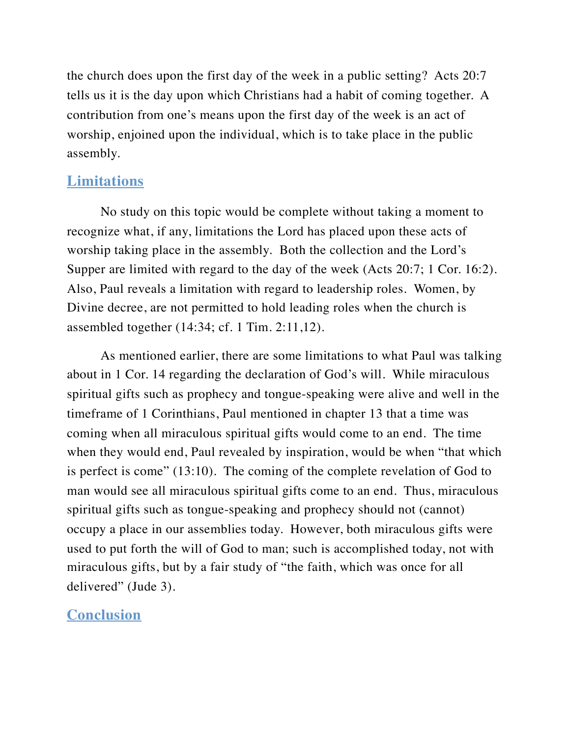the church does upon the first day of the week in a public setting? Acts 20:7 tells us it is the day upon which Christians had a habit of coming together. A contribution from one's means upon the first day of the week is an act of worship, enjoined upon the individual, which is to take place in the public assembly.

## **Limitations**

No study on this topic would be complete without taking a moment to recognize what, if any, limitations the Lord has placed upon these acts of worship taking place in the assembly. Both the collection and the Lord's Supper are limited with regard to the day of the week (Acts 20:7; 1 Cor. 16:2). Also, Paul reveals a limitation with regard to leadership roles. Women, by Divine decree, are not permitted to hold leading roles when the church is assembled together (14:34; cf. 1 Tim. 2:11,12).

As mentioned earlier, there are some limitations to what Paul was talking about in 1 Cor. 14 regarding the declaration of God's will. While miraculous spiritual gifts such as prophecy and tongue-speaking were alive and well in the timeframe of 1 Corinthians, Paul mentioned in chapter 13 that a time was coming when all miraculous spiritual gifts would come to an end. The time when they would end, Paul revealed by inspiration, would be when "that which is perfect is come" (13:10). The coming of the complete revelation of God to man would see all miraculous spiritual gifts come to an end. Thus, miraculous spiritual gifts such as tongue-speaking and prophecy should not (cannot) occupy a place in our assemblies today. However, both miraculous gifts were used to put forth the will of God to man; such is accomplished today, not with miraculous gifts, but by a fair study of "the faith, which was once for all delivered" (Jude 3).

## **Conclusion**